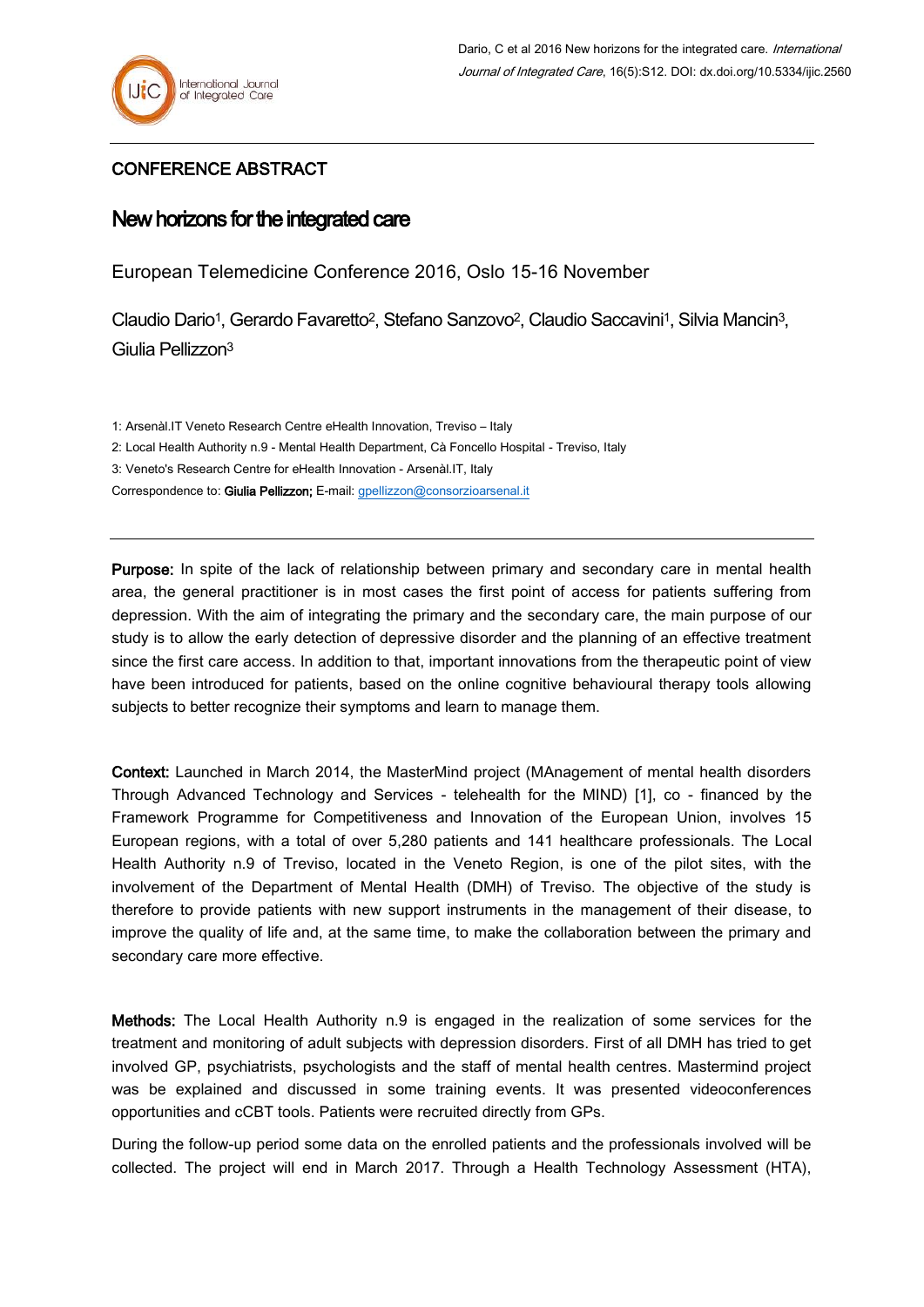## CONFERENCE ABSTRACT

## New horizons for the integrated care

European Telemedicine Conference 2016, Oslo 15-16 November

Claudio Dario1, Gerardo Favaretto2, Stefano Sanzovo2, Claudio Saccavini1, Silvia Mancin3, Giulia Pellizzon<sup>3</sup>

1: Arsenàl.IT Veneto Research Centre eHealth Innovation, Treviso – Italy

2: Local Health Authority n.9 - Mental Health Department, Cà Foncello Hospital - Treviso, Italy

3: Veneto's Research Centre for eHealth Innovation - Arsenàl.IT, Italy

Correspondence to: Giulia Pellizzon; E-mail: [gpellizzon@consorzioarsenal.it](mailto:gpellizzon@consorzioarsenal.it)

Purpose: In spite of the lack of relationship between primary and secondary care in mental health area, the general practitioner is in most cases the first point of access for patients suffering from depression. With the aim of integrating the primary and the secondary care, the main purpose of our study is to allow the early detection of depressive disorder and the planning of an effective treatment since the first care access. In addition to that, important innovations from the therapeutic point of view have been introduced for patients, based on the online cognitive behavioural therapy tools allowing subjects to better recognize their symptoms and learn to manage them.

Context: Launched in March 2014, the MasterMind project (MAnagement of mental health disorders Through Advanced Technology and Services - telehealth for the MIND) [1], co - financed by the Framework Programme for Competitiveness and Innovation of the European Union, involves 15 European regions, with a total of over 5,280 patients and 141 healthcare professionals. The Local Health Authority n.9 of Treviso, located in the Veneto Region, is one of the pilot sites, with the involvement of the Department of Mental Health (DMH) of Treviso. The objective of the study is therefore to provide patients with new support instruments in the management of their disease, to improve the quality of life and, at the same time, to make the collaboration between the primary and secondary care more effective.

Methods: The Local Health Authority n.9 is engaged in the realization of some services for the treatment and monitoring of adult subjects with depression disorders. First of all DMH has tried to get involved GP, psychiatrists, psychologists and the staff of mental health centres. Mastermind project was be explained and discussed in some training events. It was presented videoconferences opportunities and cCBT tools. Patients were recruited directly from GPs.

During the follow-up period some data on the enrolled patients and the professionals involved will be collected. The project will end in March 2017. Through a Health Technology Assessment (HTA),